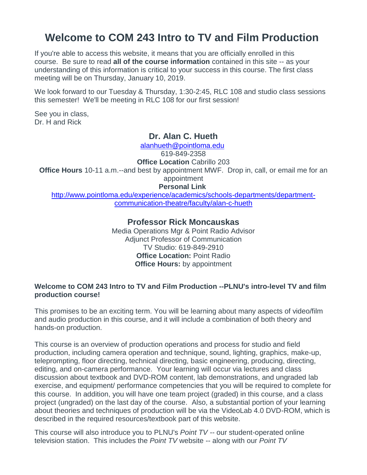# **Welcome to COM 243 Intro to TV and Film Production**

If you're able to access this website, it means that you are officially enrolled in this course. Be sure to read **all of the course information** contained in this site -- as your understanding of this information is critical to your success in this course. The first class meeting will be on Thursday, January 10, 2019.

We look forward to our Tuesday & Thursday, 1:30-2:45, RLC 108 and studio class sessions this semester! We'll be meeting in RLC 108 for our first session!

See you in class, Dr. H and Rick

### **Dr. Alan C. Hueth**

[alanhueth@pointloma.edu](mailto:alanhueth@pointloma.edu)

619-849-2358

**Office Location** Cabrillo 203

**Office Hours** 10-11 a.m.--and best by appointment MWF. Drop in, call, or email me for an appointment

**Personal Link**

[http://www.pointloma.edu/experience/academics/schools-departments/department](http://www.pointloma.edu/experience/academics/schools-departments/department-communication-theatre/faculty/alan-c-hueth)[communication-theatre/faculty/alan-c-hueth](http://www.pointloma.edu/experience/academics/schools-departments/department-communication-theatre/faculty/alan-c-hueth)

### **Professor Rick Moncauskas**

Media Operations Mgr & Point Radio Advisor Adjunct Professor of Communication TV Studio: 619-849-2910 **Office Location:** Point Radio **Office Hours:** by appointment

#### **Welcome to COM 243 Intro to TV and Film Production --PLNU's intro-level TV and film production course!**

This promises to be an exciting term. You will be learning about many aspects of video/film and audio production in this course, and it will include a combination of both theory and hands-on production.

This course is an overview of production operations and process for studio and field production, including camera operation and technique, sound, lighting, graphics, make-up, teleprompting, floor directing, technical directing, basic engineering, producing, directing, editing, and on-camera performance. Your learning will occur via lectures and class discussion about textbook and DVD-ROM content, lab demonstrations, and ungraded lab exercise, and equipment/ performance competencies that you will be required to complete for this course. In addition, you will have one team project (graded) in this course, and a class project (ungraded) on the last day of the course. Also, a substantial portion of your learning about theories and techniques of production will be via the VideoLab 4.0 DVD-ROM, which is described in the required resources/textbook part of this website.

This course will also introduce you to PLNU's *Point TV --* our student-operated online television station. This includes the *Point TV* website -- along with our *Point TV*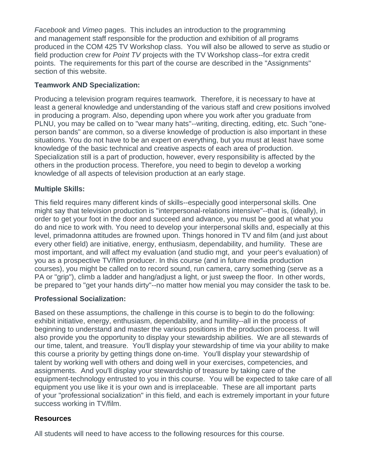*Facebook* and *Vimeo* pages. This includes an introduction to the programming and management staff responsible for the production and exhibition of all programs produced in the COM 425 TV Workshop class. You will also be allowed to serve as studio or field production crew for *Point TV* projects with the TV Workshop class--for extra credit points. The requirements for this part of the course are described in the "Assignments" section of this website.

### **Teamwork AND Specialization:**

Producing a television program requires teamwork. Therefore, it is necessary to have at least a general knowledge and understanding of the various staff and crew positions involved in producing a program. Also, depending upon where you work after you graduate from PLNU, you may be called on to "wear many hats"--writing, directing, editing, etc. Such "oneperson bands" are common, so a diverse knowledge of production is also important in these situations. You do not have to be an expert on everything, but you must at least have some knowledge of the basic technical and creative aspects of each area of production. Specialization still is a part of production, however, every responsibility is affected by the others in the production process. Therefore, you need to begin to develop a working knowledge of all aspects of television production at an early stage.

### **Multiple Skills:**

This field requires many different kinds of skills--especially good interpersonal skills. One might say that television production is "interpersonal-relations intensive"--that is, (ideally), in order to get your foot in the door and succeed and advance, you must be good at what you do and nice to work with. You need to develop your interpersonal skills and, especially at this level, primadonna attitudes are frowned upon. Things honored in TV and film (and just about every other field) are initiative, energy, enthusiasm, dependability, and humility. These are most important, and will affect my evaluation (and studio mgt, and your peer's evaluation) of you as a prospective TV/film producer. In this course (and in future media production courses), you might be called on to record sound, run camera, carry something (serve as a PA or "grip"), climb a ladder and hang/adjust a light, or just sweep the floor. In other words, be prepared to "get your hands dirty"--no matter how menial you may consider the task to be.

### **Professional Socialization:**

Based on these assumptions, the challenge in this course is to begin to do the following: exhibit initiative, energy, enthusiasm, dependability, and humility--all in the process of beginning to understand and master the various positions in the production process. It will also provide you the opportunity to display your stewardship abilities. We are all stewards of our time, talent, and treasure. You'll display your stewardship of time via your ability to make this course a priority by getting things done on-time. You'll display your stewardship of talent by working well with others and doing well in your exercises, competencies, and assignments. And you'll display your stewardship of treasure by taking care of the equipment-technology entrusted to you in this course. You will be expected to take care of all equipment you use like it is your own and is irreplaceable. These are all important parts of your "professional socialization" in this field, and each is extremely important in your future success working in TV/film.

### **Resources**

All students will need to have access to the following resources for this course.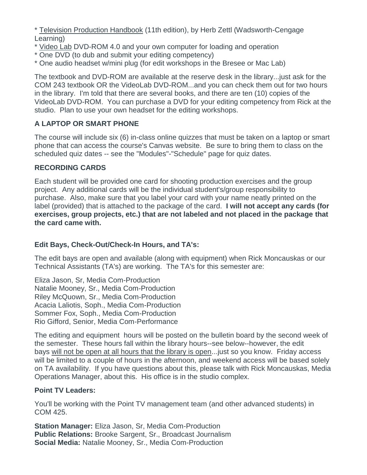\* Television Production Handbook (11th edition), by Herb Zettl (Wadsworth-Cengage Learning)

- \* Video Lab DVD-ROM 4.0 and your own computer for loading and operation
- \* One DVD (to dub and submit your editing competency)
- \* One audio headset w/mini plug (for edit workshops in the Bresee or Mac Lab)

The textbook and DVD-ROM are available at the reserve desk in the library...just ask for the COM 243 textbook OR the VideoLab DVD-ROM...and you can check them out for two hours in the library. I'm told that there are several books, and there are ten (10) copies of the VideoLab DVD-ROM. You can purchase a DVD for your editing competency from Rick at the studio. Plan to use your own headset for the editing workshops.

### **A LAPTOP OR SMART PHONE**

The course will include six (6) in-class online quizzes that must be taken on a laptop or smart phone that can access the course's Canvas website. Be sure to bring them to class on the scheduled quiz dates -- see the "Modules"-"Schedule" page for quiz dates.

### **RECORDING CARDS**

Each student will be provided one card for shooting production exercises and the group project. Any additional cards will be the individual student's/group responsibility to purchase. Also, make sure that you label your card with your name neatly printed on the label (provided) that is attached to the package of the card. **I will not accept any cards (for exercises, group projects, etc.) that are not labeled and not placed in the package that the card came with.**

### **Edit Bays, Check-Out/Check-In Hours, and TA's:**

The edit bays are open and available (along with equipment) when Rick Moncauskas or our Technical Assistants (TA's) are working. The TA's for this semester are:

Eliza Jason, Sr, Media Com-Production Natalie Mooney, Sr., Media Com-Production Riley McQuown, Sr., Media Com-Production Acacia Laliotis, Soph., Media Com-Production Sommer Fox, Soph., Media Com-Production Rio Gifford, Senior, Media Com-Performance

The editing and equipment hours will be posted on the bulletin board by the second week of the semester. These hours fall within the library hours--see below--however, the edit bays will not be open at all hours that the library is open... just so you know. Friday access will be limited to a couple of hours in the afternoon, and weekend access will be based solely on TA availability. If you have questions about this, please talk with Rick Moncauskas, Media Operations Manager, about this. His office is in the studio complex.

#### **Point TV Leaders:**

You'll be working with the Point TV management team (and other advanced students) in COM 425.

**Station Manager:** Eliza Jason, Sr, Media Com-Production **Public Relations:** Brooke Sargent, Sr., Broadcast Journalism **Social Media:** Natalie Mooney, Sr., Media Com-Production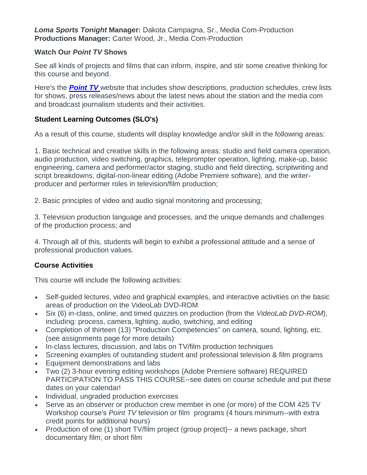*Loma Sports Tonight* **Manager:** Dakota Campagna, Sr., Media Com-Production **Productions Manager:** Carter Wood, Jr., Media Com-Production

### **Watch Our** *Point TV* **Shows**

See all kinds of projects and films that can inform, inspire, and stir some creative thinking for this course and beyond.

Here's the *Point TV* website that includes show descriptions, production schedules, crew lists for shows, press releases/news about the latest news about the station and the media com and broadcast journalism students and their activities.

### **Student Learning Outcomes (SLO's)**

As a result of this course, students will display knowledge and/or skill in the following areas:

1. Basic technical and creative skills in the following areas: studio and field camera operation, audio production, video switching, graphics, teleprompter operation, lighting, make-up, basic engineering, camera and performer/actor staging, studio and field directing, scriptwriting and script breakdowns, digital-non-linear editing (Adobe Premiere software), and the writerproducer and performer roles in television/film production;

2. Basic principles of video and audio signal monitoring and processing;

3. Television production language and processes, and the unique demands and challenges of the production process; and

4. Through all of this, students will begin to exhibit a professional attitude and a sense of professional production values.

### **Course Activities**

This course will include the following activities:

- Self-guided lectures, video and graphical examples, and interactive activities on the basic areas of production on the VideoLab DVD-ROM
- Six (6) in-class, online, and timed quizzes on production (from the *VideoLab DVD-ROM*), including: process, camera, lighting, audio, switching, and editing
- Completion of thirteen (13) "Production Competencies" on camera, sound, lighting, etc. (see assignments page for more details)
- In-class lectures, discussion, and labs on TV/film production techniques
- Screening examples of outstanding student and professional television & film programs
- Equipment demonstrations and labs
- Two (2) 3-hour evening editing workshops (Adobe Premiere software) REQUIRED PARTICIPATION TO PASS THIS COURSE--see dates on course schedule and put these dates on your calendar!
- Individual, ungraded production exercises
- Serve as an observer or production crew member in one (or more) of the COM 425 TV Workshop course's *Point TV* television or film programs (4 hours minimum--with extra credit points for additional hours)
- Production of one (1) short TV/film project (group project)-- a news package, short documentary film, or short film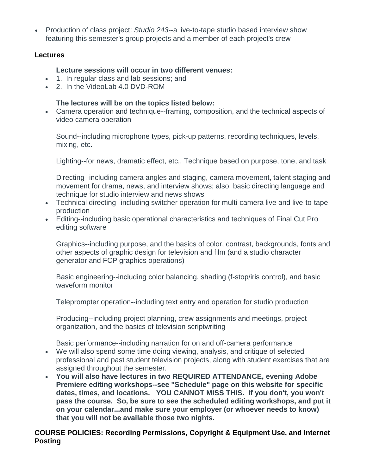• Production of class project: *Studio 243*--a live-to-tape studio based interview show featuring this semester's group projects and a member of each project's crew

### **Lectures**

#### **Lecture sessions will occur in two different venues:**

- 1. In regular class and lab sessions; and
- 2. In the VideoLab 4.0 DVD-ROM

### **The lectures will be on the topics listed below:**

 Camera operation and technique--framing, composition, and the technical aspects of video camera operation

Sound--including microphone types, pick-up patterns, recording techniques, levels, mixing, etc.

Lighting--for news, dramatic effect, etc.. Technique based on purpose, tone, and task

Directing--including camera angles and staging, camera movement, talent staging and movement for drama, news, and interview shows; also, basic directing language and technique for studio interview and news shows

- Technical directing--including switcher operation for multi-camera live and live-to-tape production
- Editing--including basic operational characteristics and techniques of Final Cut Pro editing software

Graphics--including purpose, and the basics of color, contrast, backgrounds, fonts and other aspects of graphic design for television and film (and a studio character generator and FCP graphics operations)

Basic engineering--including color balancing, shading (f-stop/iris control), and basic waveform monitor

Teleprompter operation--including text entry and operation for studio production

Producing--including project planning, crew assignments and meetings, project organization, and the basics of television scriptwriting

Basic performance--including narration for on and off-camera performance

- We will also spend some time doing viewing, analysis, and critique of selected professional and past student television projects, along with student exercises that are assigned throughout the semester.
- **You will also have lectures in two REQUIRED ATTENDANCE, evening Adobe Premiere editing workshops--see "Schedule" page on this website for specific dates, times, and locations. YOU CANNOT MISS THIS. If you don't, you won't pass the course. So, be sure to see the scheduled editing workshops, and put it on your calendar...and make sure your employer (or whoever needs to know) that you will not be available those two nights.**

**COURSE POLICIES: Recording Permissions, Copyright & Equipment Use, and Internet Posting**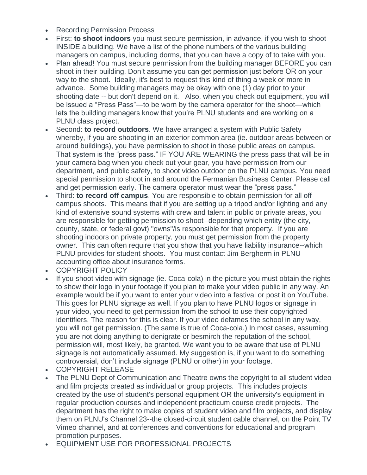- Recording Permission Process
- First: **to shoot indoors** you must secure permission, in advance, if you wish to shoot INSIDE a building. We have a list of the phone numbers of the various building managers on campus, including dorms, that you can have a copy of to take with you.
- Plan ahead! You must secure permission from the building manager BEFORE you can shoot in their building. Don't assume you can get permission just before OR on your way to the shoot. Ideally, it's best to request this kind of thing a week or more in advance. Some building managers may be okay with one (1) day prior to your shooting date -- but don't depend on it. Also, when you check out equipment, you will be issued a "Press Pass"—to be worn by the camera operator for the shoot—which lets the building managers know that you're PLNU students and are working on a PLNU class project.
- Second: **to record outdoors**. We have arranged a system with Public Safety whereby, if you are shooting in an exterior common area (ie. outdoor areas between or around buildings), you have permission to shoot in those public areas on campus. That system is the "press pass." IF YOU ARE WEARING the press pass that will be in your camera bag when you check out your gear, you have permission from our department, and public safety, to shoot video outdoor on the PLNU campus. You need special permission to shoot in and around the Fermanian Business Center. Please call and get permission early. The camera operator must wear the "press pass."
- Third: **to record off campus**. You are responsible to obtain permission for all offcampus shoots. This means that if you are setting up a tripod and/or lighting and any kind of extensive sound systems with crew and talent in public or private areas, you are responsible for getting permission to shoot--depending which entity (the city, county, state, or federal govt) "owns"/is responsible for that property. If you are shooting indoors on private property, you must get permission from the property owner. This can often require that you show that you have liability insurance--which PLNU provides for student shoots. You must contact Jim Bergherm in PLNU accounting office about insurance forms.
- COPYRIGHT POLICY
- If you shoot video with signage (ie. Coca-cola) in the picture you must obtain the rights to show their logo in your footage if you plan to make your video public in any way. An example would be if you want to enter your video into a festival or post it on YouTube. This goes for PLNU signage as well. If you plan to have PLNU logos or signage in your video, you need to get permission from the school to use their copyrighted identifiers. The reason for this is clear. If your video defames the school in any way, you will not get permission. (The same is true of Coca-cola.) In most cases, assuming you are not doing anything to denigrate or besmirch the reputation of the school, permission will, most likely, be granted. We want you to be aware that use of PLNU signage is not automatically assumed. My suggestion is, if you want to do something controversial, don't include signage (PLNU or other) in your footage.
- COPYRIGHT RELEASE
- The PLNU Dept of Communication and Theatre owns the copyright to all student video and film projects created as individual or group projects. This includes projects created by the use of student's personal equipment OR the university's equipment in regular production courses and independent practicum course credit projects. The department has the right to make copies of student video and film projects, and display them on PLNU's Channel 23--the closed-circuit student cable channel, on the Point TV Vimeo channel, and at conferences and conventions for educational and program promotion purposes.
- EQUIPMENT USE FOR PROFESSIONAL PROJECTS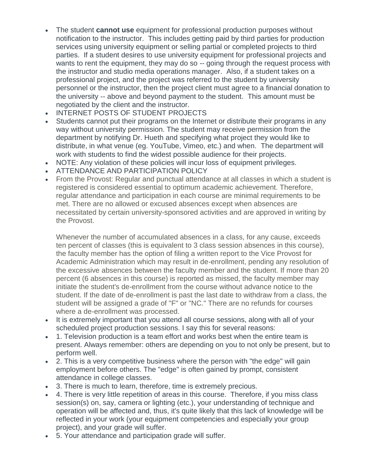- The student **cannot use** equipment for professional production purposes without notification to the instructor. This includes getting paid by third parties for production services using university equipment or selling partial or completed projects to third parties. If a student desires to use university equipment for professional projects and wants to rent the equipment, they may do so -- going through the request process with the instructor and studio media operations manager. Also, if a student takes on a professional project, and the project was referred to the student by university personnel or the instructor, then the project client must agree to a financial donation to the university -- above and beyond payment to the student. This amount must be negotiated by the client and the instructor.
- INTERNET POSTS OF STUDENT PROJECTS
- Students cannot put their programs on the Internet or distribute their programs in any way without university permission. The student may receive permission from the department by notifying Dr. Hueth and specifying what project they would like to distribute, in what venue (eg. YouTube, Vimeo, etc.) and when. The department will work with students to find the widest possible audience for their projects.
- NOTE: Any violation of these policies will incur loss of equipment privileges.
- **ATTENDANCE AND PARTICIPATION POLICY**
- From the Provost: Regular and punctual attendance at all classes in which a student is registered is considered essential to optimum academic achievement. Therefore, regular attendance and participation in each course are minimal requirements to be met. There are no allowed or excused absences except when absences are necessitated by certain university-sponsored activities and are approved in writing by the Provost.

Whenever the number of accumulated absences in a class, for any cause, exceeds ten percent of classes (this is equivalent to 3 class session absences in this course), the faculty member has the option of filing a written report to the Vice Provost for Academic Administration which may result in de-enrollment, pending any resolution of the excessive absences between the faculty member and the student. If more than 20 percent (6 absences in this course) is reported as missed, the faculty member may initiate the student's de-enrollment from the course without advance notice to the student. If the date of de-enrollment is past the last date to withdraw from a class, the student will be assigned a grade of "F" or "NC." There are no refunds for courses where a de-enrollment was processed.

- It is extremely important that you attend all course sessions, along with all of your scheduled project production sessions. I say this for several reasons:
- 1. Television production is a team effort and works best when the entire team is present. Always remember: others are depending on you to not only be present, but to perform well.
- 2. This is a very competitive business where the person with "the edge" will gain employment before others. The "edge" is often gained by prompt, consistent attendance in college classes.
- 3. There is much to learn, therefore, time is extremely precious.
- 4. There is very little repetition of areas in this course. Therefore, if you miss class session(s) on, say, camera or lighting (etc.), your understanding of technique and operation will be affected and, thus, it's quite likely that this lack of knowledge will be reflected in your work (your equipment competencies and especially your group project), and your grade will suffer.
- 5. Your attendance and participation grade will suffer.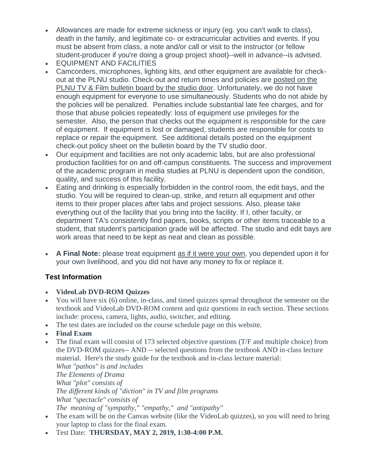- Allowances are made for extreme sickness or injury (eg. you can't walk to class), death in the family, and legitimate co- or extracurricular activities and events. If you must be absent from class, a note and/or call or visit to the instructor (or fellow student-producer if you're doing a group project shoot)--well in advance--is advised.
- EQUIPMENT AND FACILITIES
- Camcorders, microphones, lighting kits, and other equipment are available for checkout at the PLNU studio. Check-out and return times and policies are posted on the PLNU TV & Film bulletin board by the studio door. Unfortunately, we do not have enough equipment for everyone to use simultaneously. Students who do not abide by the policies will be penalized. Penalties include substantial late fee charges, and for those that abuse policies repeatedly: loss of equipment use privileges for the semester. Also, the person that checks out the equipment is responsible for the care of equipment. If equipment is lost or damaged, students are responsible for costs to replace or repair the equipment. See additional details posted on the equipment check-out policy sheet on the bulletin board by the TV studio door.
- Our equipment and facilities are not only academic labs, but are also professional production facilities for on and off-campus constituents. The success and improvement of the academic program in media studies at PLNU is dependent upon the condition, quality, and success of this facility.
- Eating and drinking is especially forbidden in the control room, the edit bays, and the studio. You will be required to clean-up, strike, and return all equipment and other items to their proper places after labs and project sessions. Also, please take everything out of the facility that you bring into the facility. If I, other faculty, or department TA's consistently find papers, books, scripts or other items traceable to a student, that student's participation grade will be affected. The studio and edit bays are work areas that need to be kept as neat and clean as possible.
- **A Final Note:** please treat equipment as if it were your own, you depended upon it for your own livelihood, and you did not have any money to fix or replace it.

# **Test Information**

- **VideoLab DVD-ROM Quizzes**
- You will have six (6) online, in-class, and timed quizzes spread throughout the semester on the textbook and VideoLab DVD-ROM content and quiz questions in each section. These sections include: process, camera, lights, audio, switcher, and editing.
- The test dates are included on the course schedule page on this website.
- **Final Exam**
- The final exam will consist of 173 selected objective questions (T/F and multiple choice) from the DVD-ROM quizzes-- AND -- selected questions from the textbook AND in-class lecture material. Here's the study guide for the textbook and in-class lecture material:

*What "pathos" is and includes The Elements of Drama What "plot" consists of The different kinds of "diction" in TV and film programs What "spectacle" consists of The meaning of "sympathy," "empathy," and "antipathy"*

- The exam will be on the Canvas website (like the VideoLab quizzes), so you will need to bring your laptop to class for the final exam.
- Test Date: **THURSDAY, MAY 2, 2019, 1:30-4:00 P.M.**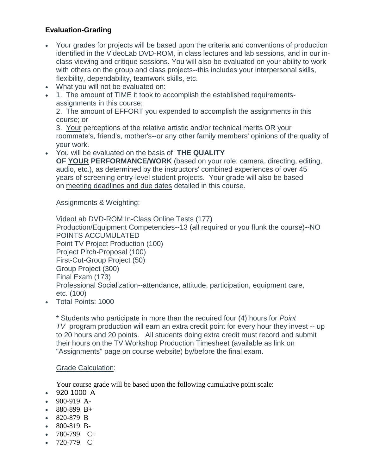### **Evaluation-Grading**

- Your grades for projects will be based upon the criteria and conventions of production identified in the VideoLab DVD-ROM, in class lectures and lab sessions, and in our inclass viewing and critique sessions. You will also be evaluated on your ability to work with others on the group and class projects--this includes your interpersonal skills, flexibility, dependability, teamwork skills, etc.
- What you will not be evaluated on:
- 1. The amount of TIME it took to accomplish the established requirementsassignments in this course;

2. The amount of EFFORT you expended to accomplish the assignments in this course; or

3. Your perceptions of the relative artistic and/or technical merits OR your roommate's, friend's, mother's--or any other family members' opinions of the quality of your work.

You will be evaluated on the basis of **THE QUALITY** 

**OF YOUR PERFORMANCE/WORK** (based on your role: camera, directing, editing, audio, etc.), as determined by the instructors' combined experiences of over 45 years of screening entry-level student projects. Your grade will also be based on meeting deadlines and due dates detailed in this course.

#### Assignments & Weighting:

VideoLab DVD-ROM In-Class Online Tests (177) Production/Equipment Competencies--13 (all required or you flunk the course)--NO POINTS ACCUMULATED Point TV Project Production (100) Project Pitch-Proposal (100) First-Cut-Group Project (50) Group Project (300) Final Exam (173) Professional Socialization--attendance, attitude, participation, equipment care, etc. (100)

Total Points: 1000

\* Students who participate in more than the required four (4) hours for *Point TV* program production will earn an extra credit point for every hour they invest -- up to 20 hours and 20 points. All students doing extra credit must record and submit their hours on the TV Workshop Production Timesheet (available as link on "Assignments" page on course website) by/before the final exam.

#### Grade Calculation:

Your course grade will be based upon the following cumulative point scale:

- 920-1000 A
- 900-919 A-
- $880-899$  B+
- 820-879 B
- 800-819 B-
- 780-799  $C+$
- 720-779 C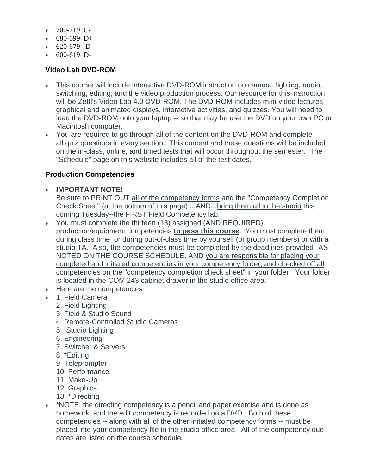- $-700-719$  C-
- $680-699$  D+
- $620-679$  D
- $600-619$  D-

### **Video Lab DVD-ROM**

- This course will include interactive DVD-ROM instruction on camera, lighting, audio, switching, editing, and the video production process. Our resource for this instruction will be Zettl's Video Lab 4.0 DVD-ROM. The DVD-ROM includes mini-video lectures, graphical and animated displays, interactive activities, and quizzes. You will need to load the DVD-ROM onto your laptop -- so that may be use the DVD on your own PC or Macintosh computer.
- You are required to go through all of the content on the DVD-ROM and complete all quiz questions in every section. This content and these questions will be included on the in-class, online, and timed tests that will occur throughout the semester. The "Schedule" page on this website includes all of the test dates.

### **Production Competencies**

**IMPORTANT NOTE!**

Be sure to PRINT OUT all of the competency forms and the "Competency Completion Check Sheet" (at the bottom of this page) ...AND...bring them all to the studio this coming Tuesday--the FIRST Field Competency lab.

- You must complete the thirteen (13) assigned (AND REQUIRED) production/equipment competencies **to pass this course**. You must complete them during class time, or during out-of-class time by yourself (or group members) or with a studio TA. Also, the competencies must be completed by the deadlines provided--AS NOTED ON THE COURSE SCHEDULE. AND you are responsible for placing your completed and initialed competencies in your competency folder, and checked off all competencies on the "competency completion check sheet" in your folder. Your folder is located in the COM 243 cabinet drawer in the studio office area.
- Here are the competencies:
- 1. Field Camera
	- 2. Field Lighting
	- 3. Field & Studio Sound
	- 4. Remote-Controlled Studio Cameras
	- 5. Studio Lighting
	- 6. Engineering
	- 7. Switcher & Servers
	- 8. \*Editing
	- 9. Teleprompter
	- 10. Performance
	- 11. Make-Up
	- 12. Graphics
	- 13. \*Directing
- \* NOTE: the directing competency is a pencil and paper exercise and is done as homework, and the edit competency is recorded on a DVD. Both of these competencies -- along with all of the other initialed competency forms -- must be placed into your competency file in the studio office area. All of the competency due dates are listed on the course schedule.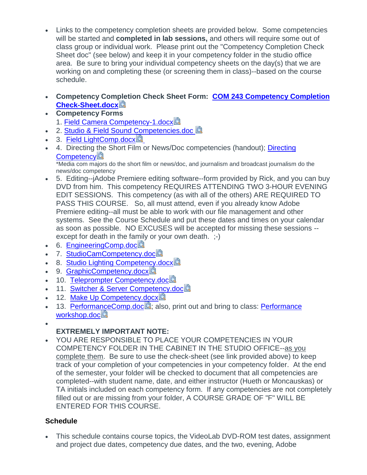- Links to the competency completion sheets are provided below. Some competencies will be started and **completed in lab sessions,** and others will require some out of class group or individual work. Please print out the "Competency Completion Check Sheet doc" (see below) and keep it in your competency folder in the studio office area. Be sure to bring your individual competency sheets on the day(s) that we are working on and completing these (or screening them in class)--based on the course schedule.
- **Competency Com[ple](https://canvas.pointloma.edu/courses/42837/files/2301335/download?wrap=1)tion Check Sheet Form: [COM 243 Competency Completion](https://canvas.pointloma.edu/courses/42837/files/2301335/download?wrap=1)  [Check-Sheet.docx](https://canvas.pointloma.edu/courses/42837/files/2301335/download?wrap=1)**
- **Competency Forms**
	- 1. [Field Camera Competency-1.docx](https://canvas.pointloma.edu/courses/42837/files/2301306/download?wrap=1)
- 2. [Studio & Field Sound Competencies.doc](https://canvas.pointloma.edu/courses/42837/files/2301313/download?wrap=1) **A**
- 3. [Field LightComp.docx](https://canvas.pointloma.edu/courses/42837/files/2301329/download?wrap=1)國
- 4. [Directing](https://canvas.pointloma.edu/courses/42837/files/2301326/download?wrap=1) the Short Film or News/Doc competencies (handout); Directing **[Competency](https://canvas.pointloma.edu/courses/42837/files/2301326/download?wrap=1)**

\*Media com majors do the short film or news/doc, and journalism and broadcast journalism do the news/doc competency

- 5. Editing--jAdobe Premiere editing software--form provided by Rick, and you can buy DVD from him. This competency REQUIRES ATTENDING TWO 3-HOUR EVENING EDIT SESSIONS. This competency (as with all of the others) ARE REQUIRED TO PASS THIS COURSE. So, all must attend, even if you already know Adobe Premiere editing--all must be able to work with our file management and other systems. See the Course Schedule and put these dates and times on your calendar as soon as possible. NO EXCUSES will be accepted for missing these sessions - except for death in the family or your own death.  $\div$ )
- 6. [EngineeringComp.doc](https://canvas.pointloma.edu/courses/42837/files/2301354/download?wrap=1)
- 7. StudioCamCompetency.doc
- 8. [Studio Lighting Competency.docx](https://canvas.pointloma.edu/courses/42837/files/2301356/download?wrap=1)
- 9. [GraphicCompetency.docx](https://canvas.pointloma.edu/courses/42837/files/2301358/download?wrap=1)
- 10. [Teleprompter Competency.doc](https://canvas.pointloma.edu/courses/42837/files/2301357/download?wrap=1)
- 11. [Switcher & Server Competency.doc](https://canvas.pointloma.edu/courses/42837/files/2301314/download?wrap=1)
- 12. [Make Up Competency.docx](https://canvas.pointloma.edu/courses/42837/files/2301362/download?wrap=1)
- $\bullet$  13. [PerformanceComp.doc](https://canvas.pointloma.edu/courses/42837/files/2301363/download?wrap=1)  $\blacksquare$ ; also, print out and bring to class: Performance [workshop.doc](https://canvas.pointloma.edu/courses/42837/files/2301364/download?wrap=1)
- $\bullet$

### **EXTREMELY IMPORTANT NOTE:**

 YOU ARE RESPONSIBLE TO PLACE YOUR COMPETENCIES IN YOUR COMPETENCY FOLDER IN THE CABINET IN THE STUDIO OFFICE--as you complete them. Be sure to use the check-sheet (see link provided above) to keep track of your completion of your competencies in your competency folder. At the end of the semester, your folder will be checked to document that all competencies are completed--with student name, date, and either instructor (Hueth or Moncauskas) or TA initials included on each competency form. If any competencies are not completely filled out or are missing from your folder, A COURSE GRADE OF "F" WILL BE ENTERED FOR THIS COURSE.

### **Schedule**

 This schedule contains course topics, the VideoLab DVD-ROM test dates, assignment and project due dates, competency due dates, and the two, evening, Adobe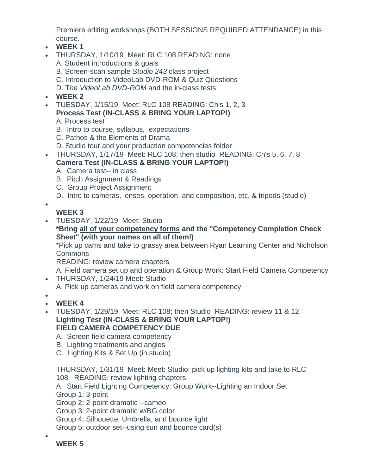Premiere editing workshops (BOTH SESSIONS REQUIRED ATTENDANCE) in this course.

- **WEEK 1**
- THURSDAY, 1/10/19 Meet: RLC 108 READING: none A. Student introductions & goals
	- B. Screen-scan sample *Studio 243* class project
	- C. Introduction to VideoLab DVD-ROM & Quiz Questions
	- D. T*he VideoLab DVD-ROM* and the in-class tests
- **WEEK 2**
- TUESDAY, 1/15/19 Meet: RLC 108 READING: Ch's 1, 2, 3 **Process Test (IN-CLASS & BRING YOUR LAPTOP!)**
	- A. Process test
	- B. Intro to course, syllabus, expectations
	- C. Pathos & the Elements of Drama
	- D. Studio tour and your production competencies folder
- THURSDAY, 1/17/19 Meet: RLC 108; then studio READING: Ch's 5, 6, 7, 8 **Camera Test (IN-CLASS & BRING YOUR LAPTOP!)**
	- A. Camera test-- in class
	- B. Pitch Assignment & Readings
	- C. Group Project Assignment
	- D. Intro to cameras, lenses, operation, and composition, etc. & tripods (studio)

# **WEEK 3**

 $\bullet$ 

 $\bullet$ 

 TUESDAY, 1/22/19 Meet: Studio **\*Bring all of your competency forms and the "Competency Completion Check Sheet" (with your names on all of them!)** \*Pick up cams and take to grassy area between Ryan Learning Center and Nicholson

Commons

READING: review camera chapters

A. Field camera set up and operation & Group Work: Start Field Camera Competency

- THURSDAY, 1/24/19 Meet: Studio
	- A. Pick up cameras and work on field camera competency
- **WEEK 4**
- TUESDAY, 1/29/19 Meet: RLC 108; then Studio READING: review 11 & 12 **Lighting Test (IN-CLASS & BRING YOUR LAPTOP!) FIELD CAMERA COMPETENCY DUE**
	- A. Screen field camera competency
	- B. Lighting treatments and angles
	- C. Lighting Kits & Set Up (in studio)

THURSDAY, 1/31/19 Meet: Meet: Studio: pick up lighting kits and take to RLC 108 READING: review lighting chapters

A. Start Field Lighting Competency: Group Work--Lighting an Indoor Set Group 1: 3-point

Group 2: 2-point dramatic --cameo

Group 3: 2-point dramatic w/BG color

Group 4: Silhouette, Umbrella, and bounce light

Group 5: outdoor set--using sun and bounce card(s)

**WEEK 5**

 $\bullet$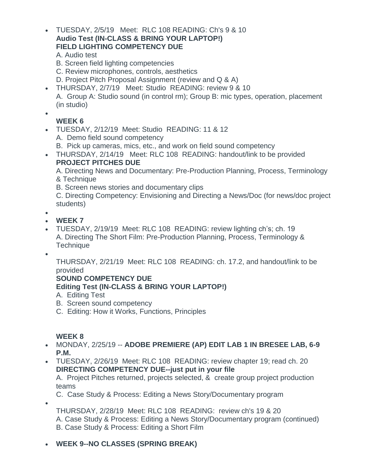TUESDAY, 2/5/19 Meet: RLC 108 READING: Ch's 9 & 10 **Audio Test (IN-CLASS & BRING YOUR LAPTOP!) FIELD LIGHTING COMPETENCY DUE**

A. Audio test

- B. Screen field lighting competencies
- C. Review microphones, controls, aesthetics
- D. Project Pitch Proposal Assignment (review and Q & A)
- THURSDAY, 2/7/19 Meet: Studio READING: review 9 & 10 A. Group A: Studio sound (in control rm); Group B: mic types, operation, placement (in studio)

 $\bullet$ 

# **WEEK 6**

- TUESDAY, 2/12/19 Meet: Studio READING: 11 & 12
	- A. Demo field sound competency
	- B. Pick up cameras, mics, etc., and work on field sound competency
- THURSDAY, 2/14/19 Meet: RLC 108 READING: handout/link to be provided **PROJECT PITCHES DUE**

A. Directing News and Documentary: Pre-Production Planning, Process, Terminology & Technique

B. Screen news stories and documentary clips

C. Directing Competency: Envisioning and Directing a News/Doc (for news/doc project students)

 $\bullet$ 

- **WEEK 7**
- TUESDAY, 2/19/19 Meet: RLC 108 READING: review lighting ch's; ch. 19 A. Directing The Short Film: Pre-Production Planning, Process, Terminology & **Technique**
- $\bullet$

 $\bullet$ 

THURSDAY, 2/21/19 Meet: RLC 108 READING: ch. 17.2, and handout/link to be provided

### **SOUND COMPETENCY DUE**

- **Editing Test (IN-CLASS & BRING YOUR LAPTOP!)**
- A. Editing Test
- B. Screen sound competency
- C. Editing: How it Works, Functions, Principles

### **WEEK 8**

- MONDAY, 2/25/19 -- **ADOBE PREMIERE (AP) EDIT LAB 1 IN BRESEE LAB, 6-9 P.M.**
- TUESDAY, 2/26/19 Meet: RLC 108 READING: review chapter 19; read ch. 20 **DIRECTING COMPETENCY DUE--just put in your file**

A. Project Pitches returned, projects selected, & create group project production teams

C. Case Study & Process: Editing a News Story/Documentary program

THURSDAY, 2/28/19 Meet: RLC 108 READING: review ch's 19 & 20 A. Case Study & Process: Editing a News Story/Documentary program (continued) B. Case Study & Process: Editing a Short Film

# **WEEK 9--NO CLASSES (SPRING BREAK)**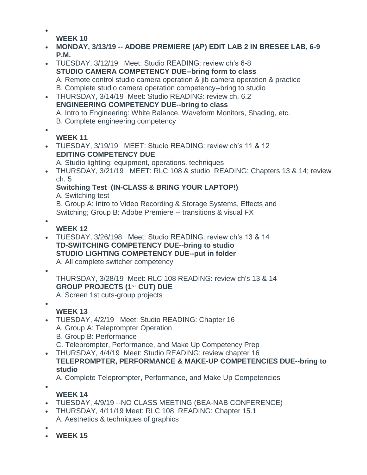- $\bullet$ **WEEK 10**
- **MONDAY, 3/13/19 -- ADOBE PREMIERE (AP) EDIT LAB 2 IN BRESEE LAB, 6-9 P.M.**
- TUESDAY, 3/12/19 Meet: Studio READING: review ch's 6-8 **STUDIO CAMERA COMPETENCY DUE--bring form to class** A. Remote control studio camera operation & jib camera operation & practice B. Complete studio camera operation competency--bring to studio
- THURSDAY, 3/14/19 Meet: Studio READING: review ch. 6.2 **ENGINEERING COMPETENCY DUE--bring to class** A. Intro to Engineering: White Balance, Waveform Monitors, Shading, etc. B. Complete engineering competency  $\bullet$
- **WEEK 11**
- TUESDAY, 3/19/19 MEET: Studio READING: review ch's 11 & 12 **EDITING COMPETENCY DUE**
	- A. Studio lighting: equipment, operations, techniques
- THURSDAY, 3/21/19 MEET: RLC 108 & studio READING: Chapters 13 & 14; review ch. 5

# **Switching Test (IN-CLASS & BRING YOUR LAPTOP!)**

A. Switching test

B. Group A: Intro to Video Recording & Storage Systems, Effects and Switching; Group B: Adobe Premiere -- transitions & visual FX

- $\bullet$ 
	- **WEEK 12**
- TUESDAY, 3/26/198 Meet: Studio READING: review ch's 13 & 14 **TD-SWITCHING COMPETENCY DUE--bring to studio STUDIO LIGHTING COMPETENCY DUE--put in folder** A. All complete switcher competency
- $\bullet$

 $\bullet$ 

THURSDAY, 3/28/19 Meet: RLC 108 READING: review ch's 13 & 14 **GROUP PROJECTS (1ST CUT) DUE**

A. Screen 1st cuts-group projects

# **WEEK 13**

- TUESDAY, 4/2/19 Meet: Studio READING: Chapter 16 A. Group A: Teleprompter Operation B. Group B: Performance C. Teleprompter, Performance, and Make Up Competency Prep
- THURSDAY, 4/4/19 Meet: Studio READING: review chapter 16 **TELEPROMPTER, PERFORMANCE & MAKE-UP COMPETENCIES DUE--bring to studio**

A. Complete Teleprompter, Performance, and Make Up Competencies

- $\bullet$
- **WEEK 14**
- TUESDAY, 4/9/19 --NO CLASS MEETING (BEA-NAB CONFERENCE)
- THURSDAY, 4/11/19 Meet: RLC 108 READING: Chapter 15.1 A. Aesthetics & techniques of graphics
- $\bullet$
- **WEEK 15**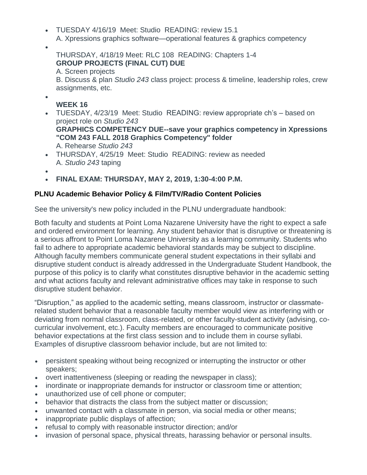- TUESDAY 4/16/19 Meet: Studio READING: review 15.1
	- A. Xpressions graphics software—operational features & graphics competency
- $\bullet$

 $\bullet$ 

THURSDAY, 4/18/19 Meet: RLC 108 READING: Chapters 1-4 **GROUP PROJECTS (FINAL CUT) DUE**

A. Screen projects

B. Discuss & plan *Studio 243* class project: process & timeline, leadership roles, crew assignments, etc.

### **WEEK 16**

- TUESDAY, 4/23/19 Meet: Studio READING: review appropriate ch's based on project role on *Studio 243* **GRAPHICS COMPETENCY DUE--save your graphics competency in Xpressions "COM 243 FALL 2018 Graphics Competency" folder** A. Rehearse *Studio 243*
- THURSDAY, 4/25/19 Meet: Studio READING: review as needed A. *Studio 243* taping
- $\bullet$
- **FINAL EXAM: THURSDAY, MAY 2, 2019, 1:30-4:00 P.M.**

### **PLNU Academic Behavior Policy & Film/TV/Radio Content Policies**

See the university's new policy included in the PLNU undergraduate handbook:

Both faculty and students at Point Loma Nazarene University have the right to expect a safe and ordered environment for learning. Any student behavior that is disruptive or threatening is a serious affront to Point Loma Nazarene University as a learning community. Students who fail to adhere to appropriate academic behavioral standards may be subject to discipline. Although faculty members communicate general student expectations in their syllabi and disruptive student conduct is already addressed in the Undergraduate Student Handbook, the purpose of this policy is to clarify what constitutes disruptive behavior in the academic setting and what actions faculty and relevant administrative offices may take in response to such disruptive student behavior.

"Disruption," as applied to the academic setting, means classroom, instructor or classmaterelated student behavior that a reasonable faculty member would view as interfering with or deviating from normal classroom, class-related, or other faculty-student activity (advising, cocurricular involvement, etc.). Faculty members are encouraged to communicate positive behavior expectations at the first class session and to include them in course syllabi. Examples of disruptive classroom behavior include, but are not limited to:

- persistent speaking without being recognized or interrupting the instructor or other speakers;
- overt inattentiveness (sleeping or reading the newspaper in class);
- inordinate or inappropriate demands for instructor or classroom time or attention;
- unauthorized use of cell phone or computer;
- behavior that distracts the class from the subject matter or discussion;
- unwanted contact with a classmate in person, via social media or other means;
- inappropriate public displays of affection;
- refusal to comply with reasonable instructor direction; and/or
- invasion of personal space, physical threats, harassing behavior or personal insults.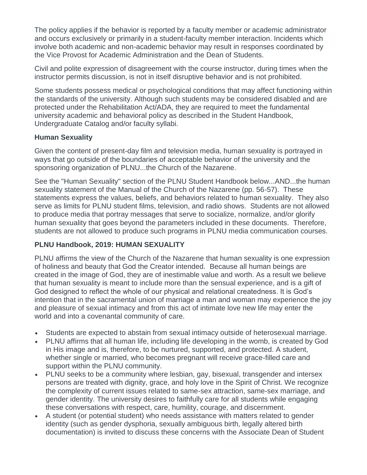The policy applies if the behavior is reported by a faculty member or academic administrator and occurs exclusively or primarily in a student-faculty member interaction. Incidents which involve both academic and non-academic behavior may result in responses coordinated by the Vice Provost for Academic Administration and the Dean of Students.

Civil and polite expression of disagreement with the course instructor, during times when the instructor permits discussion, is not in itself disruptive behavior and is not prohibited.

Some students possess medical or psychological conditions that may affect functioning within the standards of the university. Although such students may be considered disabled and are protected under the Rehabilitation Act/ADA, they are required to meet the fundamental university academic and behavioral policy as described in the Student Handbook, Undergraduate Catalog and/or faculty syllabi.

### **Human Sexuality**

Given the content of present-day film and television media, human sexuality is portrayed in ways that go outside of the boundaries of acceptable behavior of the university and the sponsoring organization of PLNU...the Church of the Nazarene.

See the "Human Sexuality" section of the PLNU Student Handbook below...AND...the human sexuality statement of the Manual of the Church of the Nazarene (pp. 56-57). These statements express the values, beliefs, and behaviors related to human sexuality. They also serve as limits for PLNU student films, television, and radio shows. Students are not allowed to produce media that portray messages that serve to socialize, normalize, and/or glorify human sexuality that goes beyond the parameters included in these documents. Therefore, students are not allowed to produce such programs in PLNU media communication courses.

### **PLNU Handbook, 2019: HUMAN SEXUALITY**

PLNU affirms the view of the Church of the Nazarene that human sexuality is one expression of holiness and beauty that God the Creator intended. Because all human beings are created in the image of God, they are of inestimable value and worth. As a result we believe that human sexuality is meant to include more than the sensual experience, and is a gift of God designed to reflect the whole of our physical and relational createdness. It is God's intention that in the sacramental union of marriage a man and woman may experience the joy and pleasure of sexual intimacy and from this act of intimate love new life may enter the world and into a covenantal community of care.

- Students are expected to abstain from sexual intimacy outside of heterosexual marriage.
- PLNU affirms that all human life, including life developing in the womb, is created by God in His image and is, therefore, to be nurtured, supported, and protected. A student, whether single or married, who becomes pregnant will receive grace-filled care and support within the PLNU community.
- PLNU seeks to be a community where lesbian, gay, bisexual, transgender and intersex persons are treated with dignity, grace, and holy love in the Spirit of Christ. We recognize the complexity of current issues related to same-sex attraction, same-sex marriage, and gender identity. The university desires to faithfully care for all students while engaging these conversations with respect, care, humility, courage, and discernment.
- A student (or potential student) who needs assistance with matters related to gender identity (such as gender dysphoria, sexually ambiguous birth, legally altered birth documentation) is invited to discuss these concerns with the Associate Dean of Student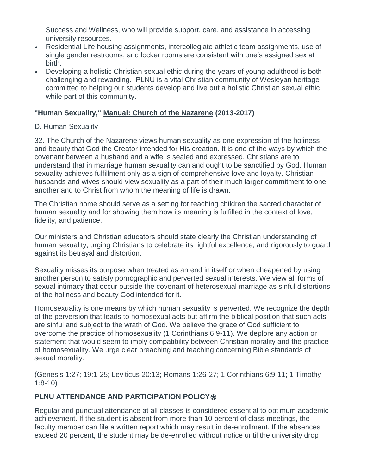Success and Wellness, who will provide support, care, and assistance in accessing university resources.

- Residential Life housing assignments, intercollegiate athletic team assignments, use of single gender restrooms, and locker rooms are consistent with one's assigned sex at birth.
- Developing a holistic Christian sexual ethic during the years of young adulthood is both challenging and rewarding. PLNU is a vital Christian community of Wesleyan heritage committed to helping our students develop and live out a holistic Christian sexual ethic while part of this community.

### **"Human Sexuality," Manual: Church of the Nazarene (2013-2017)**

### D. Human Sexuality

32. The Church of the Nazarene views human sexuality as one expression of the holiness and beauty that God the Creator intended for His creation. It is one of the ways by which the covenant between a husband and a wife is sealed and expressed. Christians are to understand that in marriage human sexuality can and ought to be sanctified by God. Human sexuality achieves fulfillment only as a sign of comprehensive love and loyalty. Christian husbands and wives should view sexuality as a part of their much larger commitment to one another and to Christ from whom the meaning of life is drawn.

The Christian home should serve as a setting for teaching children the sacred character of human sexuality and for showing them how its meaning is fulfilled in the context of love, fidelity, and patience.

Our ministers and Christian educators should state clearly the Christian understanding of human sexuality, urging Christians to celebrate its rightful excellence, and rigorously to guard against its betrayal and distortion.

Sexuality misses its purpose when treated as an end in itself or when cheapened by using another person to satisfy pornographic and perverted sexual interests. We view all forms of sexual intimacy that occur outside the covenant of heterosexual marriage as sinful distortions of the holiness and beauty God intended for it.

Homosexuality is one means by which human sexuality is perverted. We recognize the depth of the perversion that leads to homosexual acts but affirm the biblical position that such acts are sinful and subject to the wrath of God. We believe the grace of God sufficient to overcome the practice of homosexuality (1 Corinthians 6:9-11). We deplore any action or statement that would seem to imply compatibility between Christian morality and the practice of homosexuality. We urge clear preaching and teaching concerning Bible standards of sexual morality.

(Genesis 1:27; 19:1-25; Leviticus 20:13; Romans 1:26-27; 1 Corinthians 6:9-11; 1 Timothy 1:8-10)

### **PLNU ATTENDANCE AND PARTICIPATION POLICY <b>®**

Regular and punctual attendance at all classes is considered essential to optimum academic achievement. If the student is absent from more than 10 percent of class meetings, the faculty member can file a written report which may result in de-enrollment. If the absences exceed 20 percent, the student may be de-enrolled without notice until the university drop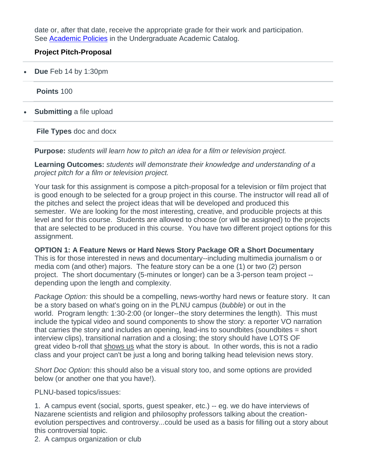date or, after that date, receive the appropriate grade for their work and participation. See [Academic Policies](http://catalog.pointloma.edu/content.php?catoid=18&navoid=1278) in the Undergraduate Academic Catalog.

### **Project Pitch-Proposal**

**Due** Feb 14 by 1:30pm

**Points** 100

**Submitting** a file upload

**File Types** doc and docx

**Purpose:** *students will learn how to pitch an idea for a film or television project.*

**Learning Outcomes:** *students will demonstrate their knowledge and understanding of a project pitch for a film or television project.*

Your task for this assignment is compose a pitch-proposal for a television or film project that is good enough to be selected for a group project in this course. The instructor will read all of the pitches and select the project ideas that will be developed and produced this semester. We are looking for the most interesting, creative, and producible projects at this level and for this course. Students are allowed to choose (or will be assigned) to the projects that are selected to be produced in this course. You have two different project options for this assignment.

#### **OPTION 1: A Feature News or Hard News Story Package OR a Short Documentary**

This is for those interested in news and documentary--including multimedia journalism o or media com (and other) majors. The feature story can be a one (1) or two (2) person project. The short documentary (5-minutes or longer) can be a 3-person team project - depending upon the length and complexity.

*Package Option:* this should be a compelling, news-worthy hard news or feature story. It can be a story based on what's going on in the PLNU campus (*bubble*) or out in the world. Program length: 1:30-2:00 (or longer--the story determines the length). This must include the typical video and sound components to show the story: a reporter VO narration that carries the story and includes an opening, lead-ins to soundbites (soundbites = short interview clips), transitional narration and a closing; the story should have LOTS OF great video b-roll that shows us what the story is about. In other words, this is not a radio class and your project can't be just a long and boring talking head television news story.

*Short Doc Option:* this should also be a visual story too, and some options are provided below (or another one that you have!).

PLNU-based topics/issues:

1. A campus event (social, sports, guest speaker, etc.) -- eg. we do have interviews of Nazarene scientists and religion and philosophy professors talking about the creationevolution perspectives and controversy...could be used as a basis for filling out a story about this controversial topic.

2. A campus organization or club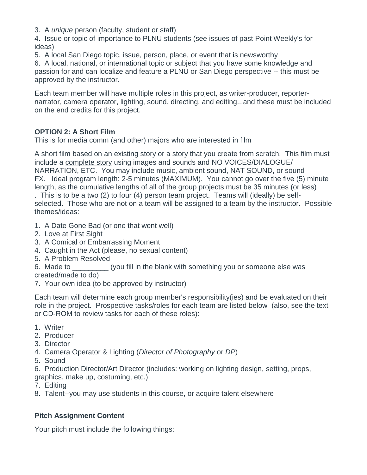3. A *unique* person (faculty, student or staff)

4. Issue or topic of importance to PLNU students (see issues of past Point Weekly's for ideas)

5. A local San Diego topic, issue, person, place, or event that is newsworthy

6. A local, national, or international topic or subject that you have some knowledge and passion for and can localize and feature a PLNU or San Diego perspective -- this must be approved by the instructor.

Each team member will have multiple roles in this project, as writer-producer, reporternarrator, camera operator, lighting, sound, directing, and editing...and these must be included on the end credits for this project.

### **OPTION 2: A Short Film**

This is for media comm (and other) majors who are interested in film

A short film based on an existing story or a story that you create from scratch. This film must include a complete story using images and sounds and NO VOICES/DIALOGUE/ NARRATION, ETC. You may include music, ambient sound, NAT SOUND, or sound FX. Ideal program length: 2-5 minutes (MAXIMUM). You cannot go over the five (5) minute length, as the cumulative lengths of all of the group projects must be 35 minutes (or less)

. This is to be a two (2) to four (4) person team project. Teams will (ideally) be selfselected. Those who are not on a team will be assigned to a team by the instructor. Possible themes/ideas:

- 1. A Date Gone Bad (or one that went well)
- 2. Love at First Sight
- 3. A Comical or Embarrassing Moment
- 4. Caught in the Act (please, no sexual content)
- 5. A Problem Resolved

6. Made to \_\_\_\_\_\_\_\_\_ (you fill in the blank with something you or someone else was created/made to do)

7. Your own idea (to be approved by instructor)

Each team will determine each group member's responsibility(ies) and be evaluated on their role in the project. Prospective tasks/roles for each team are listed below (also, see the text or CD-ROM to review tasks for each of these roles):

- 1. Writer
- 2. Producer
- 3. Director
- 4. Camera Operator & Lighting (*Director of Photography* or *DP*)
- 5. Sound
- 6. Production Director/Art Director (includes: working on lighting design, setting, props,

graphics, make up, costuming, etc.)

- 7. Editing
- 8. Talent--you may use students in this course, or acquire talent elsewhere

### **Pitch Assignment Content**

Your pitch must include the following things: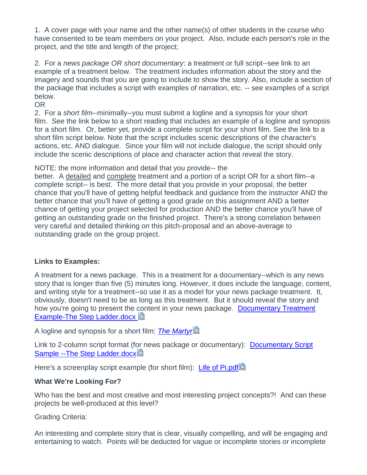1. A cover page with your name and the other name(s) of other students in the course who have consented to be team members on your project. Also, include each person's role in the project, and the title and length of the project;

2. For a *news package OR short documentary*: a treatment or full script--see link to an example of a treatment below. The treatment includes information about the story and the imagery and sounds that you are going to include to show the story. Also, include a section of the package that includes a script with examples of narration, etc. -- see examples of a script below.

OR

2. For a *short film*--minimally--you must submit a logline and a synopsis for your short film. See the link below to a short reading that includes an example of a logline and synopsis for a short film. Or, better yet, provide a complete script for your short film. See the link to a short film script below. Note that the script includes scenic descriptions of the character's actions, etc. AND dialogue. Since your film will not include dialogue, the script should only include the scenic descriptions of place and character action that reveal the story.

NOTE: the more information and detail that you provide-- the

better. A detailed and complete treatment and a portion of a script OR for a short film--a complete script-- is best. The more detail that you provide in your proposal, the better chance that you'll have of getting helpful feedback and guidance from the instructor AND the better chance that you'll have of getting a good grade on this assignment AND a better chance of getting your project selected for production AND the better chance you'll have of getting an outstanding grade on the finished project. There's a strong correlation between very careful and detailed thinking on this pitch-proposal and an above-average to outstanding grade on the group project.

### **Links to Examples:**

A treatment for a news package. This is a treatment for a documentary--which is any news story that is longer than five (5) minutes long. However, it does include the language, content, and writing style for a treatment--so use it as a model for your news package treatment. It, obviously, doesn't need to be as long as this treatment. But it should reveal the story and how you're going to present the content in your news package. [Documentary Treatment](https://canvas.pointloma.edu/courses/42837/files/2301321/download?verifier=frBh4wpq7IdqDkEO30k3PQqYli2XrKmDz8DasOix&wrap=1)  [Example-The Step Ladder.docx](https://canvas.pointloma.edu/courses/42837/files/2301321/download?verifier=frBh4wpq7IdqDkEO30k3PQqYli2XrKmDz8DasOix&wrap=1)

A logline and synopsis for a short film: *[The Martyr](https://canvas.pointloma.edu/courses/42837/files/2301334/download?verifier=LWgc5nnyKlsfMTmBwuT3Oc3TTeifAcAmZMiLAGG6&wrap=1)*

Link to 2-column script format (for news package or documentary): [Documentary Script](https://canvas.pointloma.edu/courses/42837/files/2301308/download?verifier=0rqHahL4IMmilQCPLmwq1QDj1m4Bfn7aIwiKujjb&wrap=1)  [Sample --The Step Ladder.docx](https://canvas.pointloma.edu/courses/42837/files/2301308/download?verifier=0rqHahL4IMmilQCPLmwq1QDj1m4Bfn7aIwiKujjb&wrap=1)

Here's a screenplay script example (for short film): [Life of Pi.pdf](https://canvas.pointloma.edu/courses/42837/files/2301293/download?verifier=VfrJ03P9yKoZZGazScM2jmpQOWYbuTROWB8oaPWf&wrap=1).

### **What We're Looking For?**

Who has the best and most creative and most interesting project concepts?! And can these projects be well-produced at this level?

Grading Criteria:

An interesting and complete story that is clear, visually compelling, and will be engaging and entertaining to watch. Points will be deducted for vague or incomplete stories or incomplete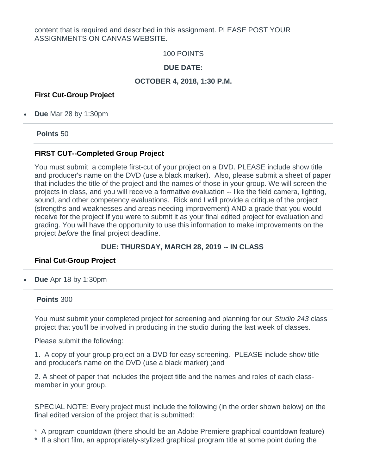content that is required and described in this assignment. PLEASE POST YOUR ASSIGNMENTS ON CANVAS WEBSITE.

100 POINTS

### **DUE DATE:**

#### **OCTOBER 4, 2018, 1:30 P.M.**

#### **First Cut-Group Project**

**Due** Mar 28 by 1:30pm

**Points** 50

#### **FIRST CUT--Completed Group Project**

You must submit a complete first-cut of your project on a DVD. PLEASE include show title and producer's name on the DVD (use a black marker). Also, please submit a sheet of paper that includes the title of the project and the names of those in your group. We will screen the projects in class, and you will receive a formative evaluation -- like the field camera, lighting, sound, and other competency evaluations. Rick and I will provide a critique of the project (strengths and weaknesses and areas needing improvement) AND a grade that you would receive for the project **if** you were to submit it as your final edited project for evaluation and grading. You will have the opportunity to use this information to make improvements on the project *before* the final project deadline.

#### **DUE: THURSDAY, MARCH 28, 2019 -- IN CLASS**

#### **Final Cut-Group Project**

**Due** Apr 18 by 1:30pm

#### **Points** 300

You must submit your completed project for screening and planning for our *Studio 243* class project that you'll be involved in producing in the studio during the last week of classes.

Please submit the following:

1. A copy of your group project on a DVD for easy screening. PLEASE include show title and producer's name on the DVD (use a black marker) ;and

2. A sheet of paper that includes the project title and the names and roles of each classmember in your group.

SPECIAL NOTE: Every project must include the following (in the order shown below) on the final edited version of the project that is submitted:

\* A program countdown (there should be an Adobe Premiere graphical countdown feature)

\* If a short film, an appropriately-stylized graphical program title at some point during the